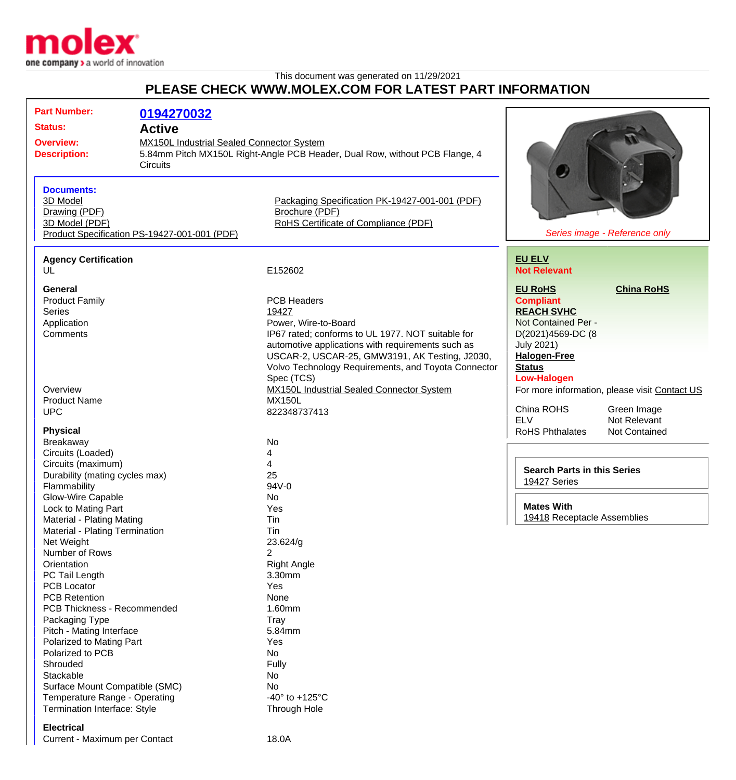

## This document was generated on 11/29/2021 **PLEASE CHECK WWW.MOLEX.COM FOR LATEST PART INFORMATION**

|                                                                                             | <b>Part Number:</b><br><b>Status:</b>        | 0194270032<br><b>Active</b> |                                                                             |                                    |                                               |
|---------------------------------------------------------------------------------------------|----------------------------------------------|-----------------------------|-----------------------------------------------------------------------------|------------------------------------|-----------------------------------------------|
|                                                                                             |                                              |                             |                                                                             |                                    |                                               |
| <b>MX150L Industrial Sealed Connector System</b><br><b>Overview:</b><br><b>Description:</b> |                                              |                             |                                                                             |                                    |                                               |
|                                                                                             |                                              |                             | 5.84mm Pitch MX150L Right-Angle PCB Header, Dual Row, without PCB Flange, 4 |                                    |                                               |
|                                                                                             |                                              | <b>Circuits</b>             |                                                                             |                                    |                                               |
|                                                                                             |                                              |                             |                                                                             |                                    |                                               |
|                                                                                             | <b>Documents:</b>                            |                             |                                                                             |                                    |                                               |
|                                                                                             | 3D Model                                     |                             | Packaging Specification PK-19427-001-001 (PDF)                              |                                    |                                               |
|                                                                                             | Drawing (PDF)                                |                             | Brochure (PDF)                                                              |                                    |                                               |
|                                                                                             | 3D Model (PDF)                               |                             | RoHS Certificate of Compliance (PDF)                                        |                                    |                                               |
|                                                                                             | Product Specification PS-19427-001-001 (PDF) |                             |                                                                             |                                    | Series image - Reference only                 |
|                                                                                             |                                              |                             |                                                                             |                                    |                                               |
|                                                                                             | <b>Agency Certification</b>                  |                             |                                                                             | <b>EU ELV</b>                      |                                               |
|                                                                                             | UL                                           |                             | E152602                                                                     | <b>Not Relevant</b>                |                                               |
|                                                                                             | <b>General</b>                               |                             |                                                                             | <b>EU RoHS</b>                     | <b>China RoHS</b>                             |
|                                                                                             |                                              |                             | <b>PCB Headers</b>                                                          | <b>Compliant</b>                   |                                               |
|                                                                                             | <b>Product Family</b><br><b>Series</b>       |                             |                                                                             | <b>REACH SVHC</b>                  |                                               |
|                                                                                             |                                              |                             | 19427                                                                       | Not Contained Per -                |                                               |
|                                                                                             | Application                                  |                             | Power, Wire-to-Board                                                        |                                    |                                               |
|                                                                                             | Comments                                     |                             | IP67 rated; conforms to UL 1977. NOT suitable for                           | D(2021)4569-DC (8                  |                                               |
|                                                                                             |                                              |                             | automotive applications with requirements such as                           | <b>July 2021)</b>                  |                                               |
|                                                                                             |                                              |                             | USCAR-2, USCAR-25, GMW3191, AK Testing, J2030,                              | <b>Halogen-Free</b>                |                                               |
|                                                                                             |                                              |                             | Volvo Technology Requirements, and Toyota Connector                         | <b>Status</b>                      |                                               |
|                                                                                             |                                              |                             | Spec (TCS)                                                                  | <b>Low-Halogen</b>                 |                                               |
|                                                                                             | Overview                                     |                             | MX150L Industrial Sealed Connector System<br><b>MX150L</b>                  |                                    | For more information, please visit Contact US |
|                                                                                             | <b>Product Name</b><br><b>UPC</b>            |                             | 822348737413                                                                | China ROHS                         | Green Image                                   |
|                                                                                             |                                              |                             |                                                                             | <b>ELV</b>                         | Not Relevant                                  |
|                                                                                             | <b>Physical</b>                              |                             |                                                                             | <b>RoHS Phthalates</b>             | Not Contained                                 |
|                                                                                             | Breakaway                                    |                             | No                                                                          |                                    |                                               |
|                                                                                             | Circuits (Loaded)                            |                             | 4                                                                           |                                    |                                               |
|                                                                                             | Circuits (maximum)                           |                             | 4                                                                           |                                    |                                               |
|                                                                                             | Durability (mating cycles max)               |                             | 25                                                                          | <b>Search Parts in this Series</b> |                                               |
|                                                                                             | Flammability                                 |                             | 94V-0                                                                       | 19427 Series                       |                                               |
|                                                                                             | Glow-Wire Capable                            |                             | No.                                                                         |                                    |                                               |
|                                                                                             | Lock to Mating Part                          |                             | Yes                                                                         | <b>Mates With</b>                  |                                               |
|                                                                                             | <b>Material - Plating Mating</b>             |                             | Tin                                                                         | 19418 Receptacle Assemblies        |                                               |
|                                                                                             | Material - Plating Termination               |                             | Tin                                                                         |                                    |                                               |
|                                                                                             | Net Weight                                   |                             | 23.624/g                                                                    |                                    |                                               |
|                                                                                             | Number of Rows                               |                             | 2                                                                           |                                    |                                               |
|                                                                                             | Orientation                                  |                             | <b>Right Angle</b>                                                          |                                    |                                               |
|                                                                                             | PC Tail Length                               |                             | 3.30mm                                                                      |                                    |                                               |
|                                                                                             | <b>PCB Locator</b>                           |                             | Yes                                                                         |                                    |                                               |
|                                                                                             | <b>PCB Retention</b>                         |                             | None                                                                        |                                    |                                               |
|                                                                                             | PCB Thickness - Recommended                  |                             | 1.60mm                                                                      |                                    |                                               |
|                                                                                             | Packaging Type                               |                             | <b>Tray</b>                                                                 |                                    |                                               |
|                                                                                             | Pitch - Mating Interface                     |                             | 5.84mm                                                                      |                                    |                                               |
|                                                                                             | Polarized to Mating Part                     |                             | Yes                                                                         |                                    |                                               |
|                                                                                             | Polarized to PCB                             |                             | No                                                                          |                                    |                                               |
|                                                                                             | Shrouded                                     |                             | Fully                                                                       |                                    |                                               |
|                                                                                             | Stackable                                    |                             | No                                                                          |                                    |                                               |
|                                                                                             | Surface Mount Compatible (SMC)               |                             | No.                                                                         |                                    |                                               |
|                                                                                             | Temperature Range - Operating                |                             | -40 $\degree$ to +125 $\degree$ C                                           |                                    |                                               |
|                                                                                             | Termination Interface: Style                 |                             | <b>Through Hole</b>                                                         |                                    |                                               |
|                                                                                             |                                              |                             |                                                                             |                                    |                                               |
|                                                                                             | <b>Electrical</b>                            |                             |                                                                             |                                    |                                               |

Current - Maximum per Contact 18.0A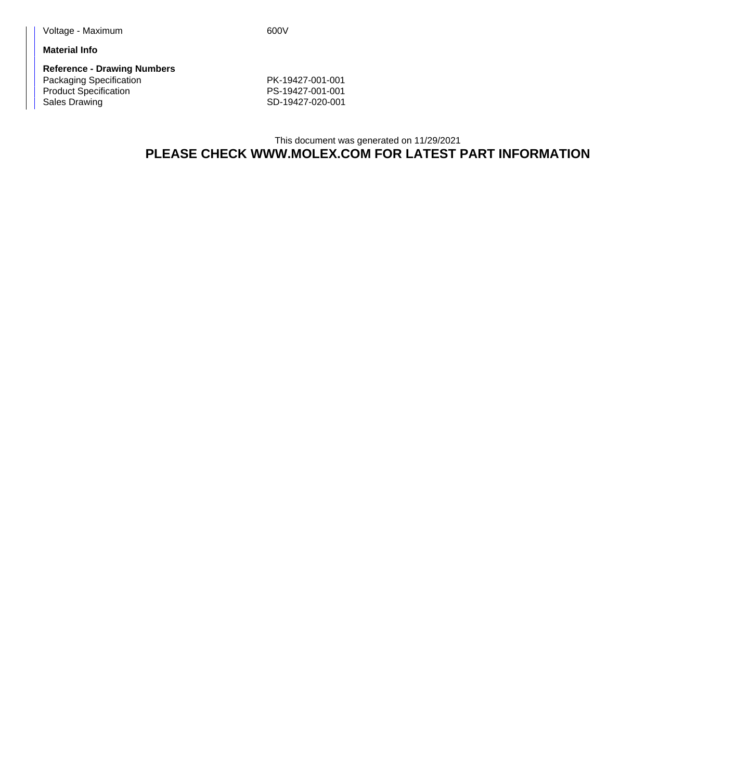**Material Info**

**Reference - Drawing Numbers** Packaging Specification **PK-19427-001-001** Product Specification **PS-19427-001-001** Sales Drawing Sales Drawing SD-19427-020-001

This document was generated on 11/29/2021 **PLEASE CHECK WWW.MOLEX.COM FOR LATEST PART INFORMATION**